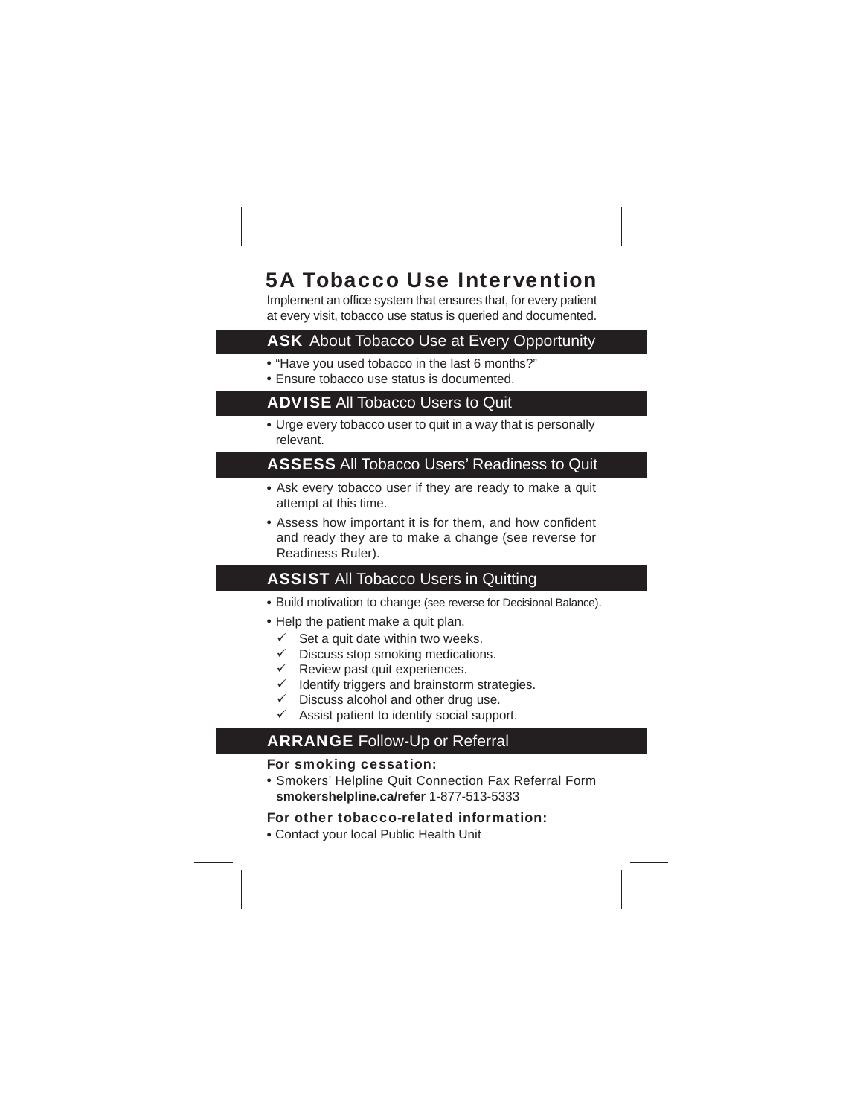## 5A Tobacco Use Intervention

Implement an office system that ensures that, for every patient at every visit, tobacco use status is queried and documented.

### **ASK** About Tobacco Use at Every Opportunity

- "Have you used tobacco in the last 6 months?"
- Ensure tobacco use status is documented.

#### **ADVISE All Tobacco Users to Quit**

Urge every tobacco user to quit in a way that is personally relevant.

#### **ASSESS All Tobacco Users' Readiness to Quit**

- Ask every tobacco user if they are ready to make a quit attempt at this time.
- Assess how important it is for them, and how confident and ready they are to make a change (see reverse for Readiness Ruler).

## **ASSIST All Tobacco Users in Quitting**

- Build motivation to change (see reverse for Decisional Balance).
- Help the patient make a quit plan.
- $\checkmark$  Set a quit date within two weeks.
- $\checkmark$  Discuss stop smoking medications.
- $\checkmark$  Review past quit experiences.
- Identify triggers and brainstorm strategies.
- Discuss alcohol and other drug use.
- Assist patient to identify social support.

#### ARRANGE Follow-Up or Referral

- For smoking cessation:
- Smokers' Helpline Quit Connection Fax Referral Form **smokershelpline.ca/refer** 1-877-513-5333

#### For other tobacco-related information:

Contact your local Public Health Unit